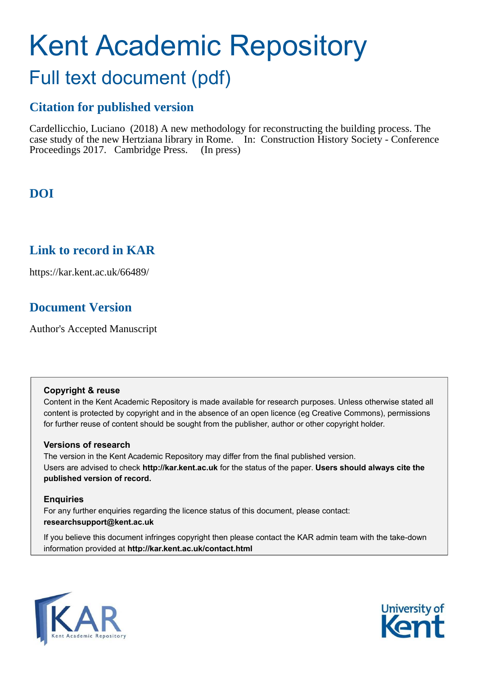# Kent Academic Repository

## Full text document (pdf)

## **Citation for published version**

Cardellicchio, Luciano (2018) A new methodology for reconstructing the building process. The case study of the new Hertziana library in Rome. In: Construction History Society - Conference Proceedings 2017. Cambridge Press. (In press)

## **DOI**

## **Link to record in KAR**

https://kar.kent.ac.uk/66489/

## **Document Version**

Author's Accepted Manuscript

## **Copyright & reuse**

Content in the Kent Academic Repository is made available for research purposes. Unless otherwise stated all content is protected by copyright and in the absence of an open licence (eg Creative Commons), permissions for further reuse of content should be sought from the publisher, author or other copyright holder.

## **Versions of research**

The version in the Kent Academic Repository may differ from the final published version. Users are advised to check **http://kar.kent.ac.uk** for the status of the paper. **Users should always cite the published version of record.**

## **Enquiries**

For any further enquiries regarding the licence status of this document, please contact: **researchsupport@kent.ac.uk**

If you believe this document infringes copyright then please contact the KAR admin team with the take-down information provided at **http://kar.kent.ac.uk/contact.html**



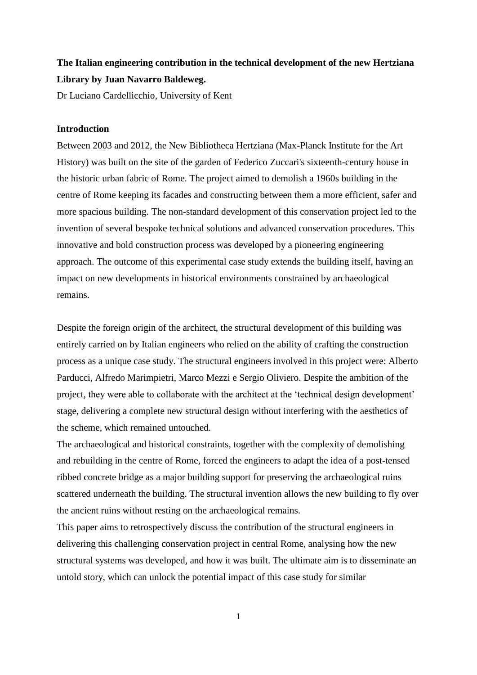## **The Italian engineering contribution in the technical development of the new Hertziana Library by Juan Navarro Baldeweg.**

Dr Luciano Cardellicchio, University of Kent

## **Introduction**

Between 2003 and 2012, the New Bibliotheca Hertziana (Max-Planck Institute for the Art History) was built on the site of the garden of Federico Zuccari's sixteenth-century house in the historic urban fabric of Rome. The project aimed to demolish a 1960s building in the centre of Rome keeping its facades and constructing between them a more efficient, safer and more spacious building. The non-standard development of this conservation project led to the invention of several bespoke technical solutions and advanced conservation procedures. This innovative and bold construction process was developed by a pioneering engineering approach. The outcome of this experimental case study extends the building itself, having an impact on new developments in historical environments constrained by archaeological remains.

Despite the foreign origin of the architect, the structural development of this building was entirely carried on by Italian engineers who relied on the ability of crafting the construction process as a unique case study. The structural engineers involved in this project were: Alberto Parducci, Alfredo Marimpietri, Marco Mezzi e Sergio Oliviero. Despite the ambition of the project, they were able to collaborate with the architect at the 'technical design development' stage, delivering a complete new structural design without interfering with the aesthetics of the scheme, which remained untouched.

The archaeological and historical constraints, together with the complexity of demolishing and rebuilding in the centre of Rome, forced the engineers to adapt the idea of a post-tensed ribbed concrete bridge as a major building support for preserving the archaeological ruins scattered underneath the building. The structural invention allows the new building to fly over the ancient ruins without resting on the archaeological remains.

This paper aims to retrospectively discuss the contribution of the structural engineers in delivering this challenging conservation project in central Rome, analysing how the new structural systems was developed, and how it was built. The ultimate aim is to disseminate an untold story, which can unlock the potential impact of this case study for similar

1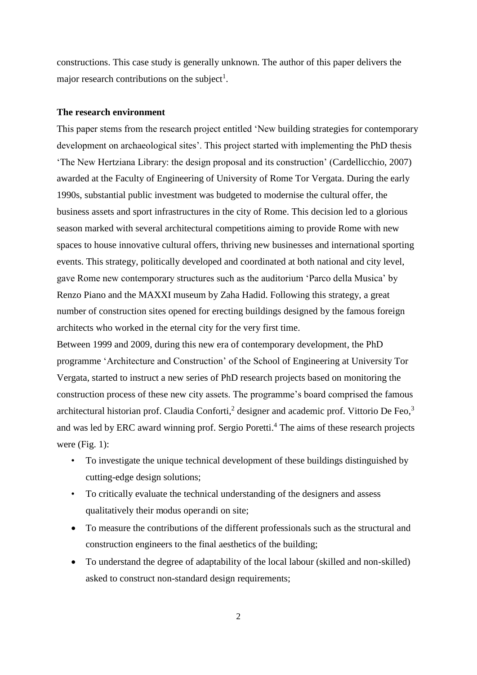constructions. This case study is generally unknown. The author of this paper delivers the major research contributions on the subject<sup>1</sup>.

#### **The research environment**

This paper stems from the research project entitled 'New building strategies for contemporary development on archaeological sites'. This project started with implementing the PhD thesis 'The New Hertziana Library: the design proposal and its construction' (Cardellicchio, 2007) awarded at the Faculty of Engineering of University of Rome Tor Vergata. During the early 1990s, substantial public investment was budgeted to modernise the cultural offer, the business assets and sport infrastructures in the city of Rome. This decision led to a glorious season marked with several architectural competitions aiming to provide Rome with new spaces to house innovative cultural offers, thriving new businesses and international sporting events. This strategy, politically developed and coordinated at both national and city level, gave Rome new contemporary structures such as the auditorium 'Parco della Musica' by Renzo Piano and the MAXXI museum by Zaha Hadid. Following this strategy, a great number of construction sites opened for erecting buildings designed by the famous foreign architects who worked in the eternal city for the very first time.

Between 1999 and 2009, during this new era of contemporary development, the PhD programme 'Architecture and Construction' of the School of Engineering at University Tor Vergata, started to instruct a new series of PhD research projects based on monitoring the construction process of these new city assets. The programme's board comprised the famous architectural historian prof. Claudia Conforti,<sup>2</sup> designer and academic prof. Vittorio De Feo,<sup>3</sup> and was led by ERC award winning prof. Sergio Poretti.<sup>4</sup> The aims of these research projects were (Fig. 1):

- To investigate the unique technical development of these buildings distinguished by cutting-edge design solutions;
- To critically evaluate the technical understanding of the designers and assess qualitatively their modus operandi on site;
- To measure the contributions of the different professionals such as the structural and construction engineers to the final aesthetics of the building;
- To understand the degree of adaptability of the local labour (skilled and non-skilled) asked to construct non-standard design requirements;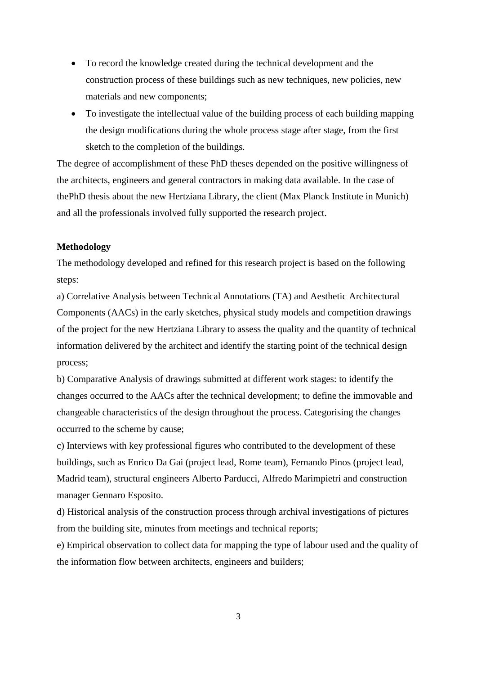- To record the knowledge created during the technical development and the construction process of these buildings such as new techniques, new policies, new materials and new components;
- To investigate the intellectual value of the building process of each building mapping the design modifications during the whole process stage after stage, from the first sketch to the completion of the buildings.

The degree of accomplishment of these PhD theses depended on the positive willingness of the architects, engineers and general contractors in making data available. In the case of thePhD thesis about the new Hertziana Library, the client (Max Planck Institute in Munich) and all the professionals involved fully supported the research project.

#### **Methodology**

The methodology developed and refined for this research project is based on the following steps:

a) Correlative Analysis between Technical Annotations (TA) and Aesthetic Architectural Components (AACs) in the early sketches, physical study models and competition drawings of the project for the new Hertziana Library to assess the quality and the quantity of technical information delivered by the architect and identify the starting point of the technical design process;

b) Comparative Analysis of drawings submitted at different work stages: to identify the changes occurred to the AACs after the technical development; to define the immovable and changeable characteristics of the design throughout the process. Categorising the changes occurred to the scheme by cause;

c) Interviews with key professional figures who contributed to the development of these buildings, such as Enrico Da Gai (project lead, Rome team), Fernando Pinos (project lead, Madrid team), structural engineers Alberto Parducci, Alfredo Marimpietri and construction manager Gennaro Esposito.

d) Historical analysis of the construction process through archival investigations of pictures from the building site, minutes from meetings and technical reports;

e) Empirical observation to collect data for mapping the type of labour used and the quality of the information flow between architects, engineers and builders;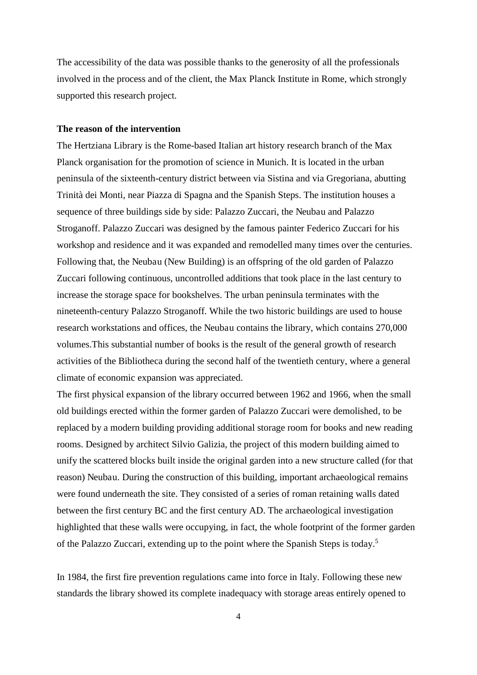The accessibility of the data was possible thanks to the generosity of all the professionals involved in the process and of the client, the Max Planck Institute in Rome, which strongly supported this research project.

### **The reason of the intervention**

The Hertziana Library is the Rome-based Italian art history research branch of the Max Planck organisation for the promotion of science in Munich. It is located in the urban peninsula of the sixteenth-century district between via Sistina and via Gregoriana, abutting Trinità dei Monti, near Piazza di Spagna and the Spanish Steps. The institution houses a sequence of three buildings side by side: Palazzo Zuccari, the Neubau and Palazzo Stroganoff. Palazzo Zuccari was designed by the famous painter Federico Zuccari for his workshop and residence and it was expanded and remodelled many times over the centuries. Following that, the Neubau (New Building) is an offspring of the old garden of Palazzo Zuccari following continuous, uncontrolled additions that took place in the last century to increase the storage space for bookshelves. The urban peninsula terminates with the nineteenth-century Palazzo Stroganoff. While the two historic buildings are used to house research workstations and offices, the Neubau contains the library, which contains 270,000 volumes.This substantial number of books is the result of the general growth of research activities of the Bibliotheca during the second half of the twentieth century, where a general climate of economic expansion was appreciated.

The first physical expansion of the library occurred between 1962 and 1966, when the small old buildings erected within the former garden of Palazzo Zuccari were demolished, to be replaced by a modern building providing additional storage room for books and new reading rooms. Designed by architect Silvio Galizia, the project of this modern building aimed to unify the scattered blocks built inside the original garden into a new structure called (for that reason) Neubau. During the construction of this building, important archaeological remains were found underneath the site. They consisted of a series of roman retaining walls dated between the first century BC and the first century AD. The archaeological investigation highlighted that these walls were occupying, in fact, the whole footprint of the former garden of the Palazzo Zuccari, extending up to the point where the Spanish Steps is today.<sup>5</sup>

In 1984, the first fire prevention regulations came into force in Italy. Following these new standards the library showed its complete inadequacy with storage areas entirely opened to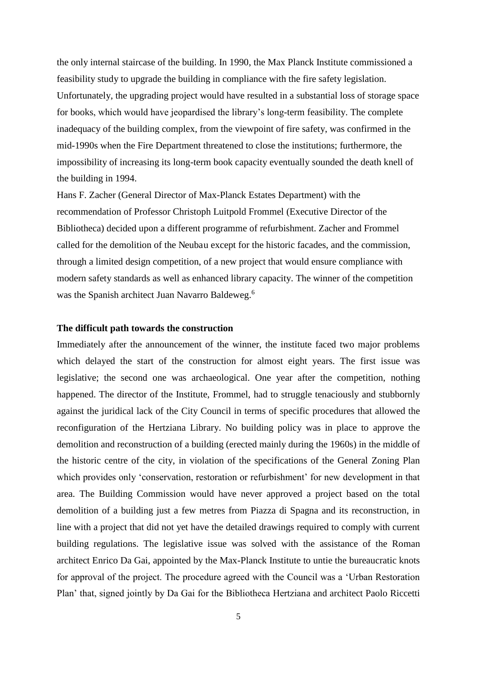the only internal staircase of the building. In 1990, the Max Planck Institute commissioned a feasibility study to upgrade the building in compliance with the fire safety legislation. Unfortunately, the upgrading project would have resulted in a substantial loss of storage space for books, which would have jeopardised the library's long-term feasibility. The complete inadequacy of the building complex, from the viewpoint of fire safety, was confirmed in the mid-1990s when the Fire Department threatened to close the institutions; furthermore, the impossibility of increasing its long-term book capacity eventually sounded the death knell of the building in 1994.

Hans F. Zacher (General Director of Max-Planck Estates Department) with the recommendation of Professor Christoph Luitpold Frommel (Executive Director of the Bibliotheca) decided upon a different programme of refurbishment. Zacher and Frommel called for the demolition of the Neubau except for the historic facades, and the commission, through a limited design competition, of a new project that would ensure compliance with modern safety standards as well as enhanced library capacity. The winner of the competition was the Spanish architect Juan Navarro Baldeweg.<sup>6</sup>

#### **The difficult path towards the construction**

Immediately after the announcement of the winner, the institute faced two major problems which delayed the start of the construction for almost eight years. The first issue was legislative; the second one was archaeological. One year after the competition, nothing happened. The director of the Institute, Frommel, had to struggle tenaciously and stubbornly against the juridical lack of the City Council in terms of specific procedures that allowed the reconfiguration of the Hertziana Library. No building policy was in place to approve the demolition and reconstruction of a building (erected mainly during the 1960s) in the middle of the historic centre of the city, in violation of the specifications of the General Zoning Plan which provides only 'conservation, restoration or refurbishment' for new development in that area. The Building Commission would have never approved a project based on the total demolition of a building just a few metres from Piazza di Spagna and its reconstruction, in line with a project that did not yet have the detailed drawings required to comply with current building regulations. The legislative issue was solved with the assistance of the Roman architect Enrico Da Gai, appointed by the Max-Planck Institute to untie the bureaucratic knots for approval of the project. The procedure agreed with the Council was a 'Urban Restoration Plan' that, signed jointly by Da Gai for the Bibliotheca Hertziana and architect Paolo Riccetti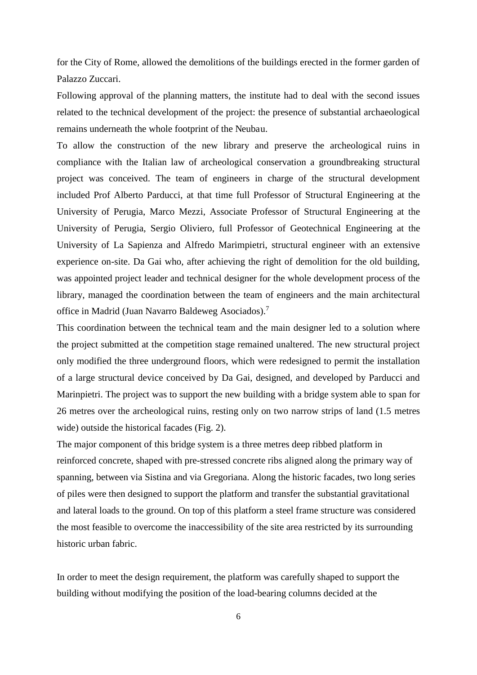for the City of Rome, allowed the demolitions of the buildings erected in the former garden of Palazzo Zuccari.

Following approval of the planning matters, the institute had to deal with the second issues related to the technical development of the project: the presence of substantial archaeological remains underneath the whole footprint of the Neubau.

To allow the construction of the new library and preserve the archeological ruins in compliance with the Italian law of archeological conservation a groundbreaking structural project was conceived. The team of engineers in charge of the structural development included Prof Alberto Parducci, at that time full Professor of Structural Engineering at the University of Perugia, Marco Mezzi, Associate Professor of Structural Engineering at the University of Perugia, Sergio Oliviero, full Professor of Geotechnical Engineering at the University of La Sapienza and Alfredo Marimpietri, structural engineer with an extensive experience on-site. Da Gai who, after achieving the right of demolition for the old building, was appointed project leader and technical designer for the whole development process of the library, managed the coordination between the team of engineers and the main architectural office in Madrid (Juan Navarro Baldeweg Asociados).<sup>7</sup>

This coordination between the technical team and the main designer led to a solution where the project submitted at the competition stage remained unaltered. The new structural project only modified the three underground floors, which were redesigned to permit the installation of a large structural device conceived by Da Gai, designed, and developed by Parducci and Marinpietri. The project was to support the new building with a bridge system able to span for 26 metres over the archeological ruins, resting only on two narrow strips of land (1.5 metres wide) outside the historical facades (Fig. 2).

The major component of this bridge system is a three metres deep ribbed platform in reinforced concrete, shaped with pre-stressed concrete ribs aligned along the primary way of spanning, between via Sistina and via Gregoriana. Along the historic facades, two long series of piles were then designed to support the platform and transfer the substantial gravitational and lateral loads to the ground. On top of this platform a steel frame structure was considered the most feasible to overcome the inaccessibility of the site area restricted by its surrounding historic urban fabric.

In order to meet the design requirement, the platform was carefully shaped to support the building without modifying the position of the load-bearing columns decided at the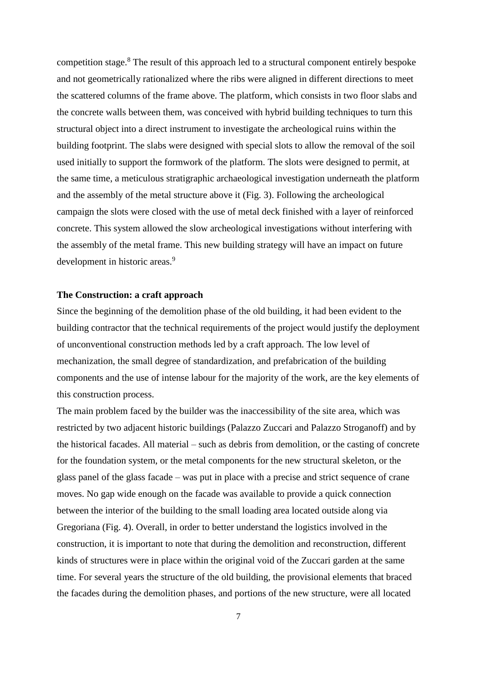competition stage.<sup>8</sup> The result of this approach led to a structural component entirely bespoke and not geometrically rationalized where the ribs were aligned in different directions to meet the scattered columns of the frame above. The platform, which consists in two floor slabs and the concrete walls between them, was conceived with hybrid building techniques to turn this structural object into a direct instrument to investigate the archeological ruins within the building footprint. The slabs were designed with special slots to allow the removal of the soil used initially to support the formwork of the platform. The slots were designed to permit, at the same time, a meticulous stratigraphic archaeological investigation underneath the platform and the assembly of the metal structure above it (Fig. 3). Following the archeological campaign the slots were closed with the use of metal deck finished with a layer of reinforced concrete. This system allowed the slow archeological investigations without interfering with the assembly of the metal frame. This new building strategy will have an impact on future development in historic areas.<sup>9</sup>

#### **The Construction: a craft approach**

Since the beginning of the demolition phase of the old building, it had been evident to the building contractor that the technical requirements of the project would justify the deployment of unconventional construction methods led by a craft approach. The low level of mechanization, the small degree of standardization, and prefabrication of the building components and the use of intense labour for the majority of the work, are the key elements of this construction process.

The main problem faced by the builder was the inaccessibility of the site area, which was restricted by two adjacent historic buildings (Palazzo Zuccari and Palazzo Stroganoff) and by the historical facades. All material – such as debris from demolition, or the casting of concrete for the foundation system, or the metal components for the new structural skeleton, or the glass panel of the glass facade – was put in place with a precise and strict sequence of crane moves. No gap wide enough on the facade was available to provide a quick connection between the interior of the building to the small loading area located outside along via Gregoriana (Fig. 4). Overall, in order to better understand the logistics involved in the construction, it is important to note that during the demolition and reconstruction, different kinds of structures were in place within the original void of the Zuccari garden at the same time. For several years the structure of the old building, the provisional elements that braced the facades during the demolition phases, and portions of the new structure, were all located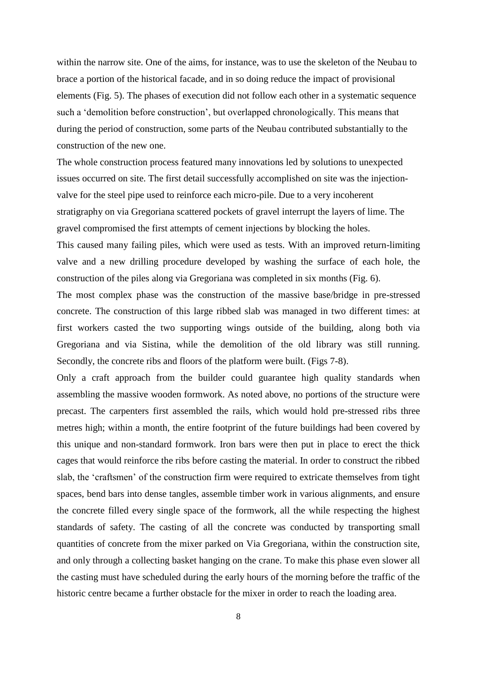within the narrow site. One of the aims, for instance, was to use the skeleton of the Neubau to brace a portion of the historical facade, and in so doing reduce the impact of provisional elements (Fig. 5). The phases of execution did not follow each other in a systematic sequence such a 'demolition before construction', but overlapped chronologically. This means that during the period of construction, some parts of the Neubau contributed substantially to the construction of the new one.

The whole construction process featured many innovations led by solutions to unexpected issues occurred on site. The first detail successfully accomplished on site was the injectionvalve for the steel pipe used to reinforce each micro-pile. Due to a very incoherent stratigraphy on via Gregoriana scattered pockets of gravel interrupt the layers of lime. The gravel compromised the first attempts of cement injections by blocking the holes.

This caused many failing piles, which were used as tests. With an improved return-limiting valve and a new drilling procedure developed by washing the surface of each hole, the construction of the piles along via Gregoriana was completed in six months (Fig. 6).

The most complex phase was the construction of the massive base/bridge in pre-stressed concrete. The construction of this large ribbed slab was managed in two different times: at first workers casted the two supporting wings outside of the building, along both via Gregoriana and via Sistina, while the demolition of the old library was still running. Secondly, the concrete ribs and floors of the platform were built. (Figs 7-8).

Only a craft approach from the builder could guarantee high quality standards when assembling the massive wooden formwork. As noted above, no portions of the structure were precast. The carpenters first assembled the rails, which would hold pre-stressed ribs three metres high; within a month, the entire footprint of the future buildings had been covered by this unique and non-standard formwork. Iron bars were then put in place to erect the thick cages that would reinforce the ribs before casting the material. In order to construct the ribbed slab, the 'craftsmen' of the construction firm were required to extricate themselves from tight spaces, bend bars into dense tangles, assemble timber work in various alignments, and ensure the concrete filled every single space of the formwork, all the while respecting the highest standards of safety. The casting of all the concrete was conducted by transporting small quantities of concrete from the mixer parked on Via Gregoriana, within the construction site, and only through a collecting basket hanging on the crane. To make this phase even slower all the casting must have scheduled during the early hours of the morning before the traffic of the historic centre became a further obstacle for the mixer in order to reach the loading area.